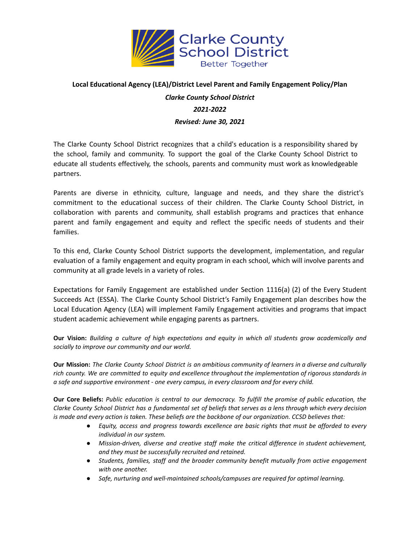

## **Local Educational Agency (LEA)/District Level Parent and Family Engagement Policy/Plan**

# *Clarke County School District 2021-2022*

#### *Revised: June 30, 2021*

The Clarke County School District recognizes that a child's education is a responsibility shared by the school, family and community. To support the goal of the Clarke County School District to educate all students effectively, the schools, parents and community must work as knowledgeable partners.

Parents are diverse in ethnicity, culture, language and needs, and they share the district's commitment to the educational success of their children. The Clarke County School District, in collaboration with parents and community, shall establish programs and practices that enhance parent and family engagement and equity and reflect the specific needs of students and their families.

To this end, Clarke County School District supports the development, implementation, and regular evaluation of a family engagement and equity program in each school, which will involve parents and community at all grade levels in a variety of roles.

Expectations for Family Engagement are established under Section 1116(a) (2) of the Every Student Succeeds Act (ESSA). The Clarke County School District's Family Engagement plan describes how the Local Education Agency (LEA) will implement Family Engagement activities and programs that impact student academic achievement while engaging parents as partners.

Our Vision: Building a culture of high expectations and equity in which all students grow academically and *socially to improve our community and our world.*

Our Mission: The Clarke County School District is an ambitious community of learners in a diverse and culturally *rich county. We are committed to equity and excellence throughout the implementation of rigorous standards in a safe and supportive environment - one every campus, in every classroom and for every child.*

Our Core Beliefs: Public education is central to our democracy. To fulfill the promise of public education, the Clarke County School District has a fundamental set of beliefs that serves as a lens through which every decision is made and every action is taken. These beliefs are the backbone of our organization. CCSD believes that:

- *● Equity, access and progress towards excellence are basic rights that must be afforded to every individual in our system.*
- *● Mission-driven, diverse and creative staff make the critical difference in student achievement, and they must be successfully recruited and retained.*
- *● Students, families, staff and the broader community benefit mutually from active engagement with one another.*
- *● Safe, nurturing and well-maintained schools/campuses are required for optimal learning.*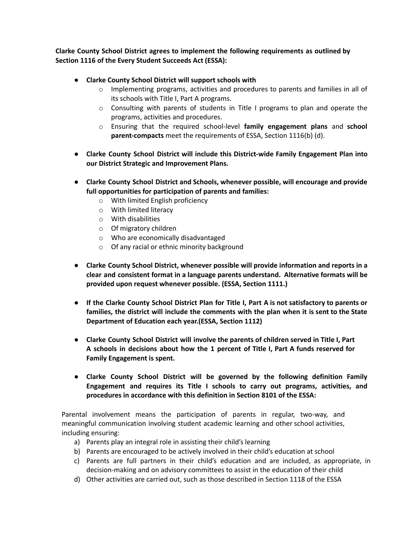**Clarke County School District agrees to implement the following requirements as outlined by Section 1116 of the Every Student Succeeds Act (ESSA):**

- **● Clarke County School District will support schools with**
	- o Implementing programs, activities and procedures to parents and families in all of its schools with Title I, Part A programs.
	- $\circ$  Consulting with parents of students in Title I programs to plan and operate the programs, activities and procedures.
	- o Ensuring that the required school-level **family engagement plans** and **school parent-compacts** meet the requirements of ESSA, Section 1116(b) (d).
- **● Clarke County School District will include this District-wide Family Engagement Plan into our District Strategic and Improvement Plans.**
- **● Clarke County School District and Schools, whenever possible, will encourage and provide full opportunities for participation of parents and families:**
	- o With limited English proficiency
	- o With limited literacy
	- o With disabilities
	- o Of migratory children
	- o Who are economically disadvantaged
	- o Of any racial or ethnic minority background
- **● Clarke County School District, whenever possible will provide information and reports in a clear and consistent format in a language parents understand. Alternative formats will be provided upon request whenever possible. (ESSA, Section 1111.)**
- If the Clarke County School District Plan for Title I, Part A is not satisfactory to parents or **families, the district will include the comments with the plan when it is sent to the State Department of Education each year.(ESSA, Section 1112)**
- **● Clarke County School District will involve the parents of children served in Title I, Part A schools in decisions about how the 1 percent of Title I, Part A funds reserved for Family Engagement is spent.**
- **● Clarke County School District will be governed by the following definition Family Engagement and requires its Title I schools to carry out programs, activities, and procedures in accordance with this definition in Section 8101 of the ESSA:**

Parental involvement means the participation of parents in regular, two-way, and meaningful communication involving student academic learning and other school activities, including ensuring:

- a) Parents play an integral role in assisting their child's learning
- b) Parents are encouraged to be actively involved in their child's education at school
- c) Parents are full partners in their child's education and are included, as appropriate, in decision-making and on advisory committees to assist in the education of their child
- d) Other activities are carried out, such as those described in Section 1118 of the ESSA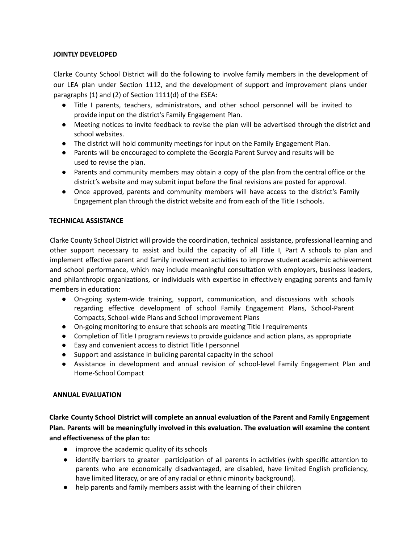## **JOINTLY DEVELOPED**

Clarke County School District will do the following to involve family members in the development of our LEA plan under Section 1112, and the development of support and improvement plans under paragraphs (1) and (2) of Section 1111(d) of the ESEA:

- Title I parents, teachers, administrators, and other school personnel will be invited to provide input on the district's Family Engagement Plan.
- Meeting notices to invite feedback to revise the plan will be advertised through the district and school websites.
- The district will hold community meetings for input on the Family Engagement Plan.
- Parents will be encouraged to complete the Georgia Parent Survey and results will be used to revise the plan.
- Parents and community members may obtain a copy of the plan from the central office or the district's website and may submit input before the final revisions are posted for approval.
- Once approved, parents and community members will have access to the district's Family Engagement plan through the district website and from each of the Title I schools.

# **TECHNICAL ASSISTANCE**

Clarke County School District will provide the coordination, technical assistance, professional learning and other support necessary to assist and build the capacity of all Title I, Part A schools to plan and implement effective parent and family involvement activities to improve student academic achievement and school performance, which may include meaningful consultation with employers, business leaders, and philanthropic organizations, or individuals with expertise in effectively engaging parents and family members in education:

- On-going system-wide training, support, communication, and discussions with schools regarding effective development of school Family Engagement Plans, School-Parent Compacts, School-wide Plans and School Improvement Plans
- On-going monitoring to ensure that schools are meeting Title I requirements
- Completion of Title I program reviews to provide guidance and action plans, as appropriate
- Easy and convenient access to district Title I personnel
- Support and assistance in building parental capacity in the school
- Assistance in development and annual revision of school-level Family Engagement Plan and Home-School Compact

#### **ANNUAL EVALUATION**

**Clarke County School District will complete an annual evaluation of the Parent and Family Engagement Plan. Parents will be meaningfully involved in this evaluation. The evaluation will examine the content and effectiveness of the plan to:**

- improve the academic quality of its schools
- identify barriers to greater participation of all parents in activities (with specific attention to parents who are economically disadvantaged, are disabled, have limited English proficiency, have limited literacy, or are of any racial or ethnic minority background).
- help parents and family members assist with the learning of their children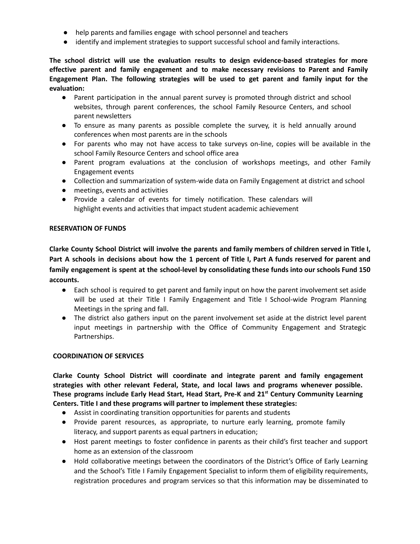- help parents and families engage with school personnel and teachers
- identify and implement strategies to support successful school and family interactions.

**The school district will use the evaluation results to design evidence-based strategies for more effective parent and family engagement and to make necessary revisions to Parent and Family Engagement Plan. The following strategies will be used to get parent and family input for the evaluation:**

- Parent participation in the annual parent survey is promoted through district and school websites, through parent conferences, the school Family Resource Centers, and school parent newsletters
- To ensure as many parents as possible complete the survey, it is held annually around conferences when most parents are in the schools
- For parents who may not have access to take surveys on-line, copies will be available in the school Family Resource Centers and school office area
- Parent program evaluations at the conclusion of workshops meetings, and other Family Engagement events
- Collection and summarization of system-wide data on Family Engagement at district and school
- meetings, events and activities
- Provide a calendar of events for timely notification. These calendars will highlight events and activities that impact student academic achievement

#### **RESERVATION OF FUNDS**

**Clarke County School District will involve the parents and family members of children served in Title I,** Part A schools in decisions about how the 1 percent of Title I, Part A funds reserved for parent and **family engagement is spent at the school-level by consolidating these funds into our schools Fund 150 accounts.**

- Each school is required to get parent and family input on how the parent involvement set aside will be used at their Title I Family Engagement and Title I School-wide Program Planning Meetings in the spring and fall.
- The district also gathers input on the parent involvement set aside at the district level parent input meetings in partnership with the Office of Community Engagement and Strategic Partnerships.

## **COORDINATION OF SERVICES**

**Clarke County School District will coordinate and integrate parent and family engagement strategies with other relevant Federal, State, and local laws and programs whenever possible. These programs include Early Head Start, Head Start, Pre-K and 21 st Century Community Learning Centers. Title I and these programs will partner to implement these strategies:**

- Assist in coordinating transition opportunities for parents and students
- Provide parent resources, as appropriate, to nurture early learning, promote family literacy, and support parents as equal partners in education;
- Host parent meetings to foster confidence in parents as their child's first teacher and support home as an extension of the classroom
- Hold collaborative meetings between the coordinators of the District's Office of Early Learning and the School's Title I Family Engagement Specialist to inform them of eligibility requirements, registration procedures and program services so that this information may be disseminated to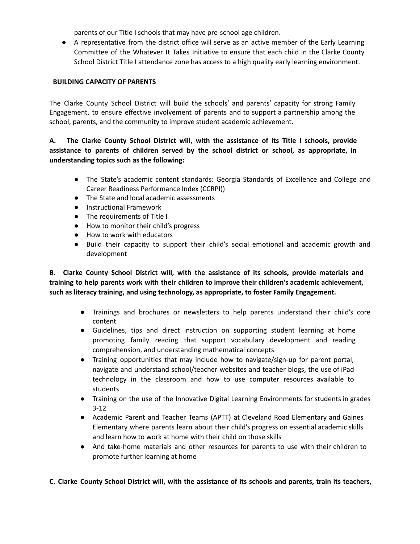parents of our Title I schools that may have pre-school age children.

● A representative from the district office will serve as an active member of the Early Learning Committee of the Whatever It Takes Initiative to ensure that each child in the Clarke County School District Title I attendance zone has access to a high quality early learning environment.

#### **BUILDING CAPACITY OF PARENTS**

The Clarke County School District will build the schools' and parents' capacity for strong Family Engagement, to ensure effective involvement of parents and to support a partnership among the school, parents, and the community to improve student academic achievement.

# **A. The Clarke County School District will, with the assistance of its Title I schools, provide assistance to parents of children served by the school district or school, as appropriate, in understanding topics such as the following:**

- The State's academic content standards: Georgia Standards of Excellence and College and Career Readiness Performance Index (CCRPI))
- The State and local academic assessments
- Instructional Framework
- The requirements of Title I
- How to monitor their child's progress
- How to work with educators
- Build their capacity to support their child's social emotional and academic growth and development

**B. Clarke County School District will, with the assistance of its schools, provide materials and training to help parents work with their children to improve their children's academic achievement, such as literacy training, and using technology, as appropriate, to foster Family Engagement.**

- Trainings and brochures or newsletters to help parents understand their child's core content
- Guidelines, tips and direct instruction on supporting student learning at home promoting family reading that support vocabulary development and reading comprehension, and understanding mathematical concepts
- Training opportunities that may include how to navigate/sign-up for parent portal, navigate and understand school/teacher websites and teacher blogs, the use of iPad technology in the classroom and how to use computer resources available to students
- Training on the use of the Innovative Digital Learning Environments for students in grades 3-12
- Academic Parent and Teacher Teams (APTT) at Cleveland Road Elementary and Gaines Elementary where parents learn about their child's progress on essential academic skills and learn how to work at home with their child on those skills
- And take-home materials and other resources for parents to use with their children to promote further learning at home

#### C. Clarke County School District will, with the assistance of its schools and parents, train its teachers,